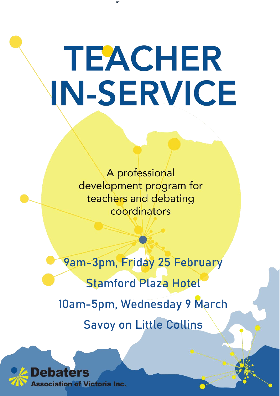# **TEACHER IN-SERVICE**

A professional development program for teachers and debating coordinators

9am-3pm, Friday 25 February Stamford Plaza Hotel 10am-5pm, Wednesday 9 March Savoy on Little Collins

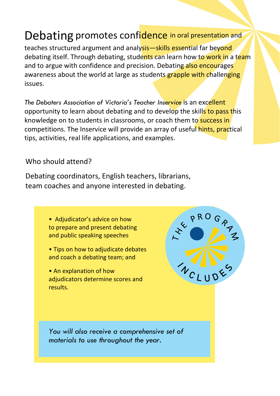## Debating promotes confidence in oral presentation and

teaches structured argument and analysis—skills essential far beyond debating itself. Through debating, students can learn how to work in a team and to argue with confidence and precision. Debating also encourages awareness about the world at large as students grapple with challenging issues.

*The Debaters Association of Victoria's Teacher Inservice* is an excellent opportunity to learn about debating and to develop the skills to pass this knowledge on to students in classrooms, or coach them to success in competitions. The Inservice will provide an array of useful hints, practical tips, activities, real life applications, and examples.

#### Who should attend?

Debating coordinators, English teachers, librarians, team coaches and anyone interested in debating.

> • Adjudicator's advice on how to prepare and present debating and public speaking speeches

• Tips on how to adjudicate debates and coach a debating team; and

• An explanation of how adjudicators determine scores and results.



*You will also receive a comprehensive set of materials to use throughout the year.*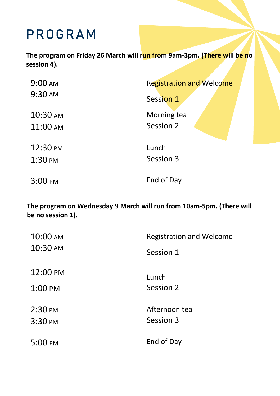# PROGRAM

**The program on Friday 26 March will run from 9am-3pm. (There will be no session 4).**

| $9:00 \text{ AM}$  | <b>Registration and Welcome</b> |
|--------------------|---------------------------------|
| 9:30 AM            | Session 1                       |
| 10:30 AM           | Morning tea                     |
| 11:00 AM           | Session 2                       |
| 12:30 PM           | Lunch                           |
| 1:30 PM            | Session 3                       |
| $3:00 \text{ }$ PM | End of Day                      |

**The program on Wednesday 9 March will run from 10am-5pm. (There will be no session 1).**

| 10:00 AM<br>10:30 AM | <b>Registration and Welcome</b> |
|----------------------|---------------------------------|
|                      | Session 1                       |
| 12:00 PM             | Lunch                           |
| $1:00$ PM            | Session 2                       |
| $2:30 \text{ }$ PM   | Afternoon tea                   |
| 3:30 PM              | Session 3                       |
| 5:00 PM              | End of Day                      |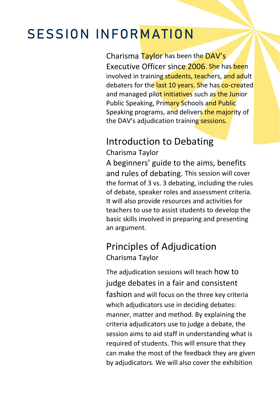# SESSION INFORMATION

Charisma Taylor has been the DAV's Executive Officer since 2006. She has been involved in training students, teachers, and adult debaters for the last 10 years. She has co-created and managed pilot initiatives such as the Junior Public Speaking, Primary Schools and Public Speaking programs, and delivers the majority of the DAV's adjudication training sessions.

### Introduction to Debating

Charisma Taylor

A beginners' guide to the aims, benefits and rules of debating. This session will cover the format of 3 vs. 3 debating, including the rules of debate, speaker roles and assessment criteria. It will also provide resources and activities for teachers to use to assist students to develop the basic skills involved in preparing and presenting an argument.

#### Principles of Adjudication Charisma Taylor

The adjudication sessions will teach how to judge debates in a fair and consistent fashion and will focus on the three key criteria which adjudicators use in deciding debates: manner, matter and method. By explaining the criteria adjudicators use to judge a debate, the session aims to aid staff in understanding what is required of students. This will ensure that they can make the most of the feedback they are given by adjudicators. We will also cover the exhibition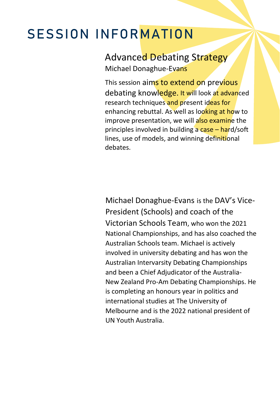# SESSION INFORMATION

Advanced Debating Strategy Michael Donaghue-Evans

This session aims to extend on previous debating knowledge. It will look at advanced research techniques and present ideas for enhancing rebuttal. As well as looking at how to improve presentation, we will also examine the principles involved in building a case – hard/soft lines, use of models, and winning definitional debates.

Michael Donaghue-Evans is the DAV's Vice-President (Schools) and coach of the Victorian Schools Team, who won the 2021 National Championships, and has also coached the Australian Schools team. Michael is actively involved in university debating and has won the Australian Intervarsity Debating Championships and been a Chief Adjudicator of the Australia-New Zealand Pro-Am Debating Championships. He is completing an honours year in politics and international studies at The University of Melbourne and is the 2022 national president of UN Youth Australia.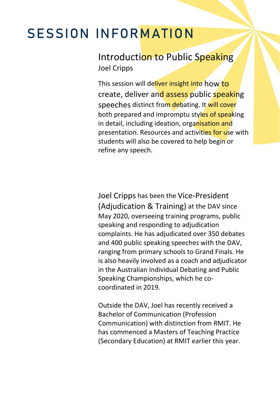## SESSION INFORMATION

#### Introduction to Public Speaking Joel Cripps

This session will deliver insight into how to create, deliver and assess public speaking speeches distinct from debating. It will cover both prepared and impromptu styles of speaking in detail, including ideation, organisation and presentation. Resources and activities for use with students will also be covered to help begin or refine any speech.

Joel Cripps has been the Vice-President (Adjudication & Training) at the DAV since May 2020, overseeing training programs, public speaking and responding to adjudication complaints. He has adjudicated over 350 debates and 400 public speaking speeches with the DAV, ranging from primary schools to Grand Finals. He is also heavily involved as a coach and adjudicator in the Australian Individual Debating and Public Speaking Championships, which he cocoordinated in 2019.

Outside the DAV, Joel has recently received a Bachelor of Communication (Profession Communication) with distinction from RMIT. He has commenced a Masters of Teaching Practice (Secondary Education) at RMIT earlier this year.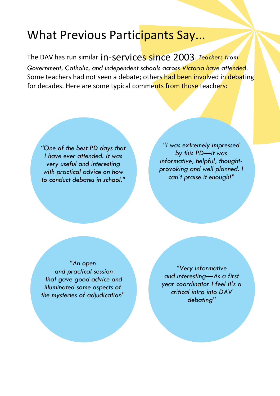## What Previous Participants Say...

The DAV has run similar in-services since 2003. *Teachers from Government, Catholic, and independent schools across Victoria have attended*. Some teachers had not seen a debate; others had been involved in debating for decades. Here are some typical comments from those teachers:

*"One of the best PD days that I have ever attended. It was very useful and interesting with practical advice on how to conduct debates in school."*

*"I was extremely impressed by this PD—it was informative, helpful, thoughtprovoking and well planned. I can't praise it enough!"*

*"An open and practical session that gave good advice and illuminated some aspects of the mysteries of adjudication"*

*"Very informative and interesting—As a first year coordinator I feel it's a critical intro into DAV debating"*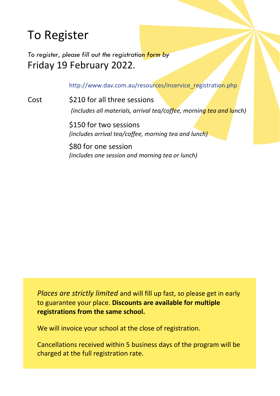## To Register

*To register, please fill out the registration form by* Friday 19 February 2022.

http://www.dav.com.au/resources/inservice\_registration.php

Cost \$210 for all three sessions *(includes all materials, arrival tea/coffee, morning tea and lunch)*

> \$150 for two sessions *(includes arrival tea/coffee, morning tea and lunch)*

\$80 for one session *(includes one session and morning tea or lunch)*

*Places are strictly limited* and will fill up fast, so please get in early to guarantee your place. **Discounts are available for multiple registrations from the same school.**

We will invoice your school at the close of registration.

Cancellations received within 5 business days of the program will be charged at the full registration rate.